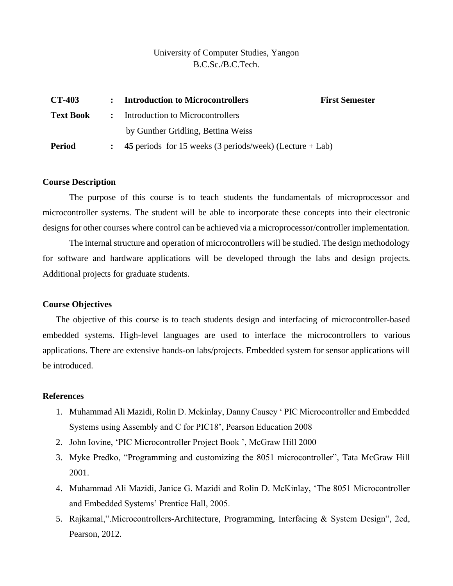### University of Computer Studies, Yangon B.C.Sc./B.C.Tech.

| <b>CT-403</b>    | : Introduction to Microcontrollers                         | <b>First Semester</b> |  |
|------------------|------------------------------------------------------------|-----------------------|--|
| <b>Text Book</b> | : Introduction to Microcontrollers                         |                       |  |
|                  | by Gunther Gridling, Bettina Weiss                         |                       |  |
| <b>Period</b>    | 45 periods for 15 weeks (3 periods/week) (Lecture $+$ Lab) |                       |  |

#### **Course Description**

The purpose of this course is to teach students the fundamentals of microprocessor and microcontroller systems. The student will be able to incorporate these concepts into their electronic designs for other courses where control can be achieved via a microprocessor/controller implementation.

The internal structure and operation of microcontrollers will be studied. The design methodology for software and hardware applications will be developed through the labs and design projects. Additional projects for graduate students.

### **Course Objectives**

The objective of this course is to teach students design and interfacing of microcontroller-based embedded systems. High-level languages are used to interface the microcontrollers to various applications. There are extensive hands-on labs/projects. Embedded system for sensor applications will be introduced.

### **References**

- 1. Muhammad Ali Mazidi, Rolin D. Mckinlay, Danny Causey ' PIC Microcontroller and Embedded Systems using Assembly and C for PIC18', Pearson Education 2008
- 2. John Iovine, 'PIC Microcontroller Project Book ', McGraw Hill 2000
- 3. Myke Predko, "Programming and customizing the 8051 microcontroller", Tata McGraw Hill 2001.
- 4. Muhammad Ali Mazidi, Janice G. Mazidi and Rolin D. McKinlay, 'The 8051 Microcontroller and Embedded Systems' Prentice Hall, 2005.
- 5. Rajkamal,".Microcontrollers-Architecture, Programming, Interfacing & System Design", 2ed, Pearson, 2012.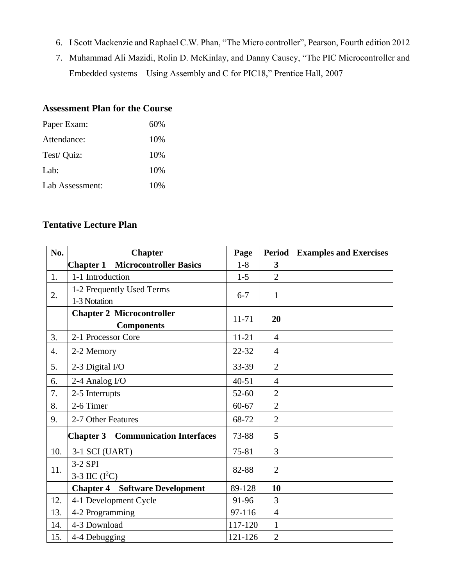- 6. I Scott Mackenzie and Raphael C.W. Phan, "The Micro controller", Pearson, Fourth edition 2012
- 7. Muhammad Ali Mazidi, Rolin D. McKinlay, and Danny Causey, "The PIC Microcontroller and Embedded systems – Using Assembly and C for PIC18," Prentice Hall, 2007

# **Assessment Plan for the Course**

| 60% |
|-----|
| 10% |
| 10% |
| 10% |
| 10% |
|     |

# **Tentative Lecture Plan**

| No. | <b>Chapter</b>                                      | Page      | <b>Period</b>           | <b>Examples and Exercises</b> |
|-----|-----------------------------------------------------|-----------|-------------------------|-------------------------------|
|     | <b>Microcontroller Basics</b><br><b>Chapter 1</b>   | $1-8$     | $\overline{\mathbf{3}}$ |                               |
| 1.  | 1-1 Introduction                                    | $1-5$     | $\overline{2}$          |                               |
| 2.  | 1-2 Frequently Used Terms                           | $6 - 7$   | 1                       |                               |
|     | 1-3 Notation                                        |           |                         |                               |
|     | <b>Chapter 2 Microcontroller</b>                    | $11 - 71$ | 20                      |                               |
|     | <b>Components</b>                                   |           |                         |                               |
| 3.  | 2-1 Processor Core                                  | $11 - 21$ | $\overline{4}$          |                               |
| 4.  | 2-2 Memory                                          | $22 - 32$ | $\overline{4}$          |                               |
| 5.  | 2-3 Digital I/O                                     | 33-39     | $\overline{2}$          |                               |
| 6.  | 2-4 Analog I/O                                      | $40 - 51$ | $\overline{4}$          |                               |
| 7.  | 2-5 Interrupts                                      | $52 - 60$ | $\overline{2}$          |                               |
| 8.  | 2-6 Timer                                           | $60 - 67$ | $\overline{2}$          |                               |
| 9.  | 2-7 Other Features                                  | 68-72     | $\overline{2}$          |                               |
|     | <b>Communication Interfaces</b><br><b>Chapter 3</b> |           | 5                       |                               |
| 10. | 3-1 SCI (UART)                                      | 75-81     | 3                       |                               |
| 11. | 3-2 SPI                                             | 82-88     | $\overline{2}$          |                               |
|     | 3-3 IIC $(I^2C)$                                    |           |                         |                               |
|     | <b>Software Development</b><br><b>Chapter 4</b>     | 89-128    | 10                      |                               |
| 12. | 4-1 Development Cycle                               | 91-96     | 3                       |                               |
| 13. | 4-2 Programming                                     | 97-116    | $\overline{4}$          |                               |
| 14. | 4-3 Download                                        | 117-120   | $\mathbf{1}$            |                               |
| 15. | 4-4 Debugging                                       | 121-126   | $\overline{2}$          |                               |